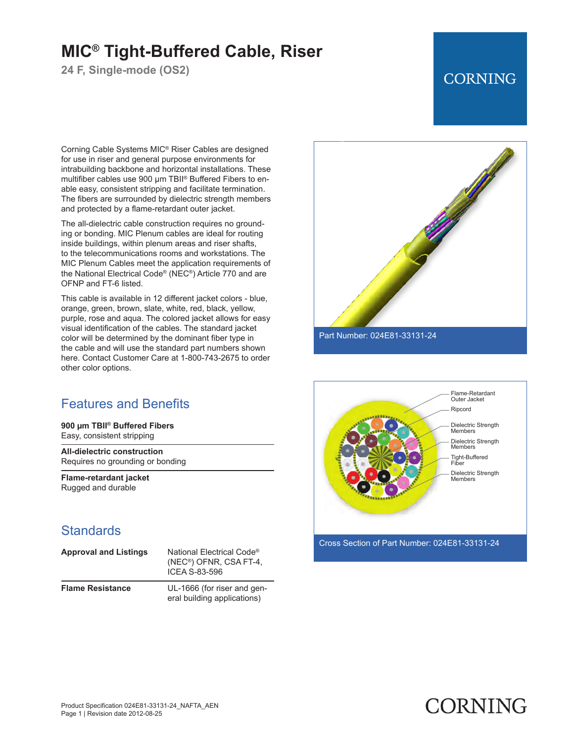# **MIC® Tight-Buffered Cable, Riser**

**24 F, Single-mode (OS2)**

## **CORNING**

Corning Cable Systems MIC® Riser Cables are designed for use in riser and general purpose environments for intrabuilding backbone and horizontal installations. These multifiber cables use 900 μm TBII® Buffered Fibers to enable easy, consistent stripping and facilitate termination. The fibers are surrounded by dielectric strength members and protected by a flame-retardant outer jacket.

The all-dielectric cable construction requires no grounding or bonding. MIC Plenum cables are ideal for routing inside buildings, within plenum areas and riser shafts, to the telecommunications rooms and workstations. The MIC Plenum Cables meet the application requirements of the National Electrical Code® (NEC®) Article 770 and are OFNP and FT-6 listed.

This cable is available in 12 different jacket colors - blue, orange, green, brown, slate, white, red, black, yellow, purple, rose and aqua. The colored jacket allows for easy visual identification of the cables. The standard jacket color will be determined by the dominant fiber type in the cable and will use the standard part numbers shown here. Contact Customer Care at 1-800-743-2675 to order other color options.

### Features and Benefits

**900 µm TBII® Buffered Fibers** Easy, consistent stripping

**All-dielectric construction** Requires no grounding or bonding

**Flame-retardant jacket** Rugged and durable

#### **Standards**

| <b>Approval and Listings</b> | National Electrical Code <sup>®</sup><br>(NEC <sup>®</sup> ) OFNR, CSA FT-4,<br>ICEA S-83-596 |
|------------------------------|-----------------------------------------------------------------------------------------------|
| <b>Flame Resistance</b>      | UL-1666 (for riser and gen-<br>eral building applications)                                    |



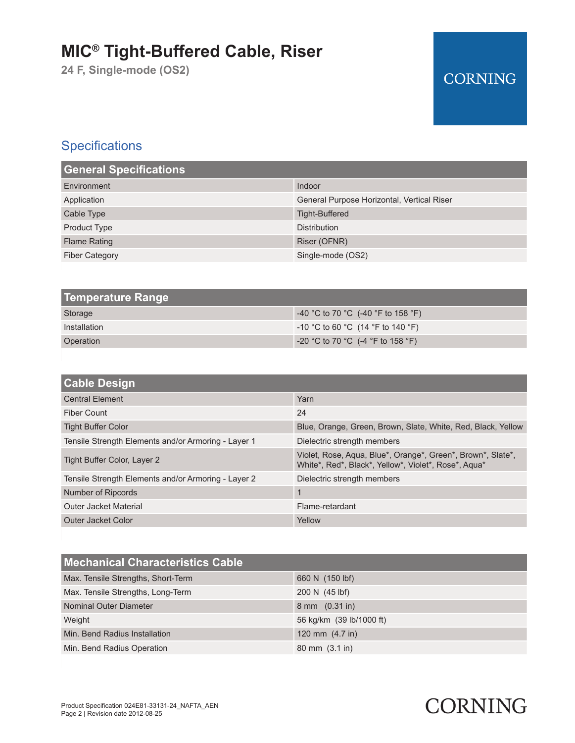# **MIC® Tight-Buffered Cable, Riser**

**24 F, Single-mode (OS2)**

## **CORNING**

## **Specifications**

| <b>General Specifications</b> |                                            |  |
|-------------------------------|--------------------------------------------|--|
| Environment                   | Indoor                                     |  |
| Application                   | General Purpose Horizontal, Vertical Riser |  |
| Cable Type                    | Tight-Buffered                             |  |
| <b>Product Type</b>           | <b>Distribution</b>                        |  |
| <b>Flame Rating</b>           | Riser (OFNR)                               |  |
| <b>Fiber Category</b>         | Single-mode (OS2)                          |  |

| Temperature Range |                                     |
|-------------------|-------------------------------------|
| Storage           | -40 °C to 70 °C (-40 °F to 158 °F)  |
| Installation      | $-10$ °C to 60 °C (14 °F to 140 °F) |
| Operation         | $-20$ °C to 70 °C (-4 °F to 158 °F) |

| <b>Cable Design</b>                                 |                                                                                                                     |
|-----------------------------------------------------|---------------------------------------------------------------------------------------------------------------------|
| <b>Central Element</b>                              | Yarn                                                                                                                |
| Fiber Count                                         | 24                                                                                                                  |
| <b>Tight Buffer Color</b>                           | Blue, Orange, Green, Brown, Slate, White, Red, Black, Yellow                                                        |
| Tensile Strength Elements and/or Armoring - Layer 1 | Dielectric strength members                                                                                         |
| Tight Buffer Color, Layer 2                         | Violet, Rose, Aqua, Blue*, Orange*, Green*, Brown*, Slate*,<br>White*, Red*, Black*, Yellow*, Violet*, Rose*, Agua* |
| Tensile Strength Elements and/or Armoring - Layer 2 | Dielectric strength members                                                                                         |
| Number of Ripcords                                  |                                                                                                                     |
| <b>Outer Jacket Material</b>                        | Flame-retardant                                                                                                     |
| Outer Jacket Color                                  | Yellow                                                                                                              |

| <b>Mechanical Characteristics Cable</b> |                                    |
|-----------------------------------------|------------------------------------|
| Max. Tensile Strengths, Short-Term      | 660 N (150 lbf)                    |
| Max. Tensile Strengths, Long-Term       | 200 N (45 lbf)                     |
| Nominal Outer Diameter                  | 8 mm (0.31 in)                     |
| Weight                                  | 56 kg/km (39 lb/1000 ft)           |
| Min. Bend Radius Installation           | 120 mm $(4.7 \text{ in})$          |
| Min. Bend Radius Operation              | $80 \text{ mm}$ $(3.1 \text{ in})$ |